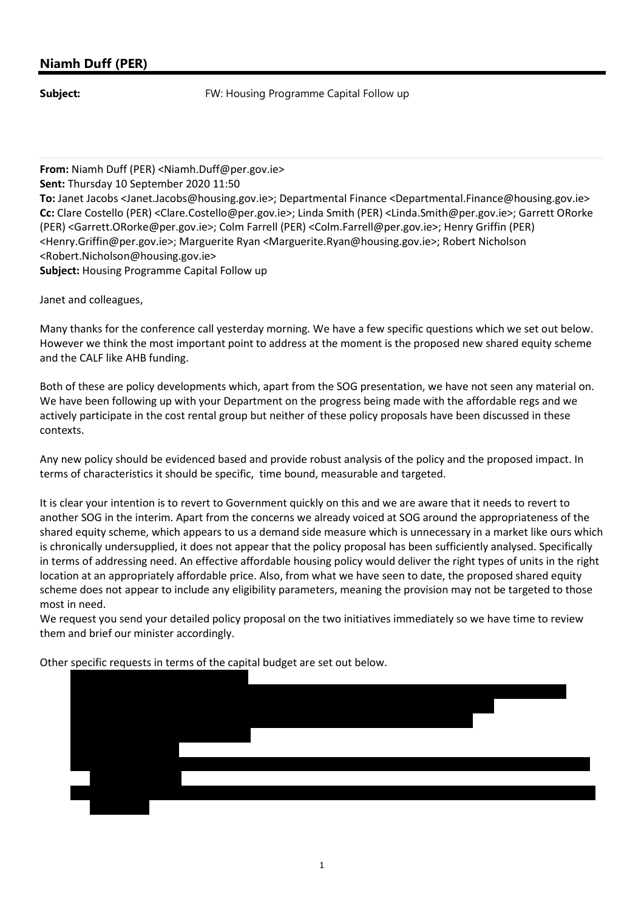## Niamh Duff (PER)

**Subject:** FW: Housing Programme Capital Follow up

From: Niamh Duff (PER) <Niamh.Duff@per.gov.ie> Sent: Thursday 10 September 2020 11:50 To: Janet Jacobs <Janet.Jacobs@housing.gov.ie>; Departmental Finance <Departmental.Finance@housing.gov.ie> Cc: Clare Costello (PER) <Clare.Costello@per.gov.ie>; Linda Smith (PER) <Linda.Smith@per.gov.ie>; Garrett ORorke (PER) <Garrett.ORorke@per.gov.ie>; Colm Farrell (PER) <Colm.Farrell@per.gov.ie>; Henry Griffin (PER) <Henry.Griffin@per.gov.ie>; Marguerite Ryan <Marguerite.Ryan@housing.gov.ie>; Robert Nicholson <Robert.Nicholson@housing.gov.ie> Subject: Housing Programme Capital Follow up

Janet and colleagues,

Many thanks for the conference call yesterday morning. We have a few specific questions which we set out below. However we think the most important point to address at the moment is the proposed new shared equity scheme and the CALF like AHB funding.

Both of these are policy developments which, apart from the SOG presentation, we have not seen any material on. We have been following up with your Department on the progress being made with the affordable regs and we actively participate in the cost rental group but neither of these policy proposals have been discussed in these contexts.

Any new policy should be evidenced based and provide robust analysis of the policy and the proposed impact. In terms of characteristics it should be specific, time bound, measurable and targeted.

It is clear your intention is to revert to Government quickly on this and we are aware that it needs to revert to another SOG in the interim. Apart from the concerns we already voiced at SOG around the appropriateness of the shared equity scheme, which appears to us a demand side measure which is unnecessary in a market like ours which is chronically undersupplied, it does not appear that the policy proposal has been sufficiently analysed. Specifically in terms of addressing need. An effective affordable housing policy would deliver the right types of units in the right location at an appropriately affordable price. Also, from what we have seen to date, the proposed shared equity scheme does not appear to include any eligibility parameters, meaning the provision may not be targeted to those most in need.

We request you send your detailed policy proposal on the two initiatives immediately so we have time to review them and brief our minister accordingly.

Other specific requests in terms of the capital budget are set out below.